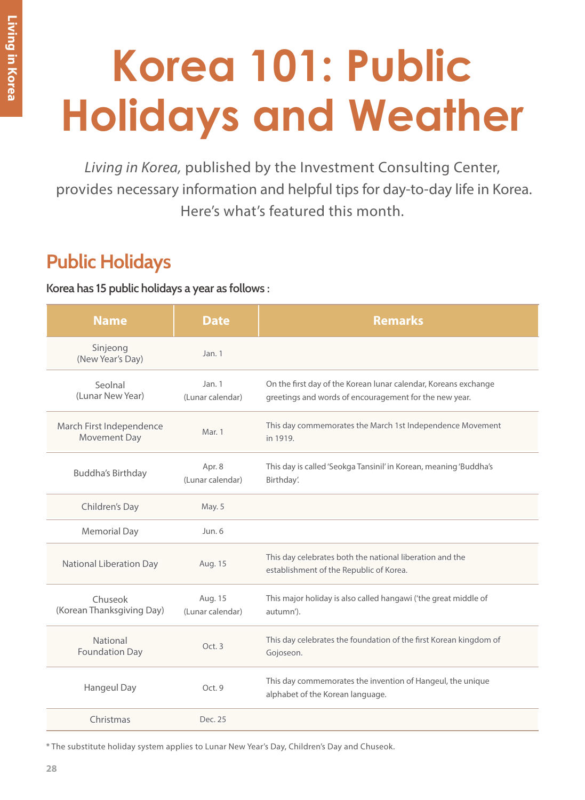## **Korea 101: Public Holidays and Weather**

*Living in Korea,* published by the Investment Consulting Center, provides necessary information and helpful tips for day-to-day life in Korea. Here's what's featured this month.

## **Public Holidays**

**Korea has 15 public holidays a year as follows :**

| <b>Name</b>                              | <b>Date</b>                 | <b>Remarks</b>                                                                                                            |
|------------------------------------------|-----------------------------|---------------------------------------------------------------------------------------------------------------------------|
| Sinjeong<br>(New Year's Day)             | Jan.1                       |                                                                                                                           |
| Seolnal<br>(Lunar New Year)              | Jan. 1<br>(Lunar calendar)  | On the first day of the Korean lunar calendar, Koreans exchange<br>greetings and words of encouragement for the new year. |
| March First Independence<br>Movement Day | Mar. 1                      | This day commemorates the March 1st Independence Movement<br>in 1919.                                                     |
| <b>Buddha's Birthday</b>                 | Apr. 8<br>(Lunar calendar)  | This day is called 'Seokga Tansinil' in Korean, meaning 'Buddha's<br>Birthday'.                                           |
| Children's Day                           | May. 5                      |                                                                                                                           |
| <b>Memorial Day</b>                      | Jun.6                       |                                                                                                                           |
| National Liberation Day                  | Aug. 15                     | This day celebrates both the national liberation and the<br>establishment of the Republic of Korea.                       |
| Chuseok<br>(Korean Thanksgiving Day)     | Aug. 15<br>(Lunar calendar) | This major holiday is also called hangawi ('the great middle of<br>autumn').                                              |
| National<br><b>Foundation Day</b>        | Oct. 3                      | This day celebrates the foundation of the first Korean kingdom of<br>Gojoseon.                                            |
| Hangeul Day                              | Oct. 9                      | This day commemorates the invention of Hangeul, the unique<br>alphabet of the Korean language.                            |
| Christmas                                | Dec. 25                     |                                                                                                                           |

\* The substitute holiday system applies to Lunar New Year's Day, Children's Day and Chuseok.